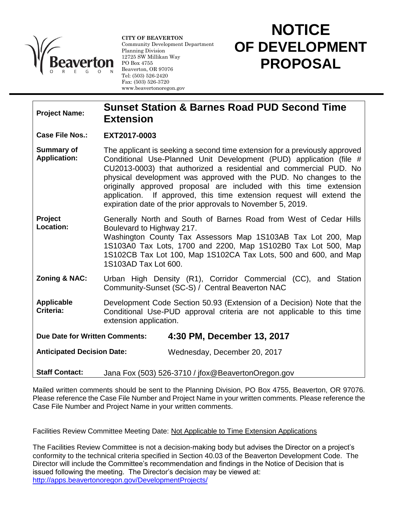

**CITY OF BEAVERTON** Community Development Department Planning Division 12725 SW Millikan Way PO Box 4755 Beaverton, OR 97076 Tel: (503) 526-2420 Fax: (503) 526-3720 www.beavertonoregon.gov

## **NOTICE OF DEVELOPMENT PROPOSAL**

l

## **Project Name: Sunset Station & Barnes Road PUD Second Time Extension**

## **Case File Nos.: EXT2017-0003**

- **Summary of Application:** The applicant is seeking a second time extension for a previously approved Conditional Use-Planned Unit Development (PUD) application (file # CU2013-0003) that authorized a residential and commercial PUD. No physical development was approved with the PUD. No changes to the originally approved proposal are included with this time extension application. If approved, this time extension request will extend the expiration date of the prior approvals to November 5, 2019.
- **Project Location:** Generally North and South of Barnes Road from West of Cedar Hills Boulevard to Highway 217. Washington County Tax Assessors Map 1S103AB Tax Lot 200, Map
	- 1S103A0 Tax Lots, 1700 and 2200, Map 1S102B0 Tax Lot 500, Map 1S102CB Tax Lot 100, Map 1S102CA Tax Lots, 500 and 600, and Map 1S103AD Tax Lot 600.
- **Zoning & NAC:** Urban High Density (R1), Corridor Commercial (CC), and Station Community-Sunset (SC-S) / Central Beaverton NAC
- **Applicable Criteria:** Development Code Section 50.93 (Extension of a Decision) Note that the Conditional Use-PUD approval criteria are not applicable to this time extension application.

**Due Date for Written Comments: 4:30 PM, December 13, 2017**

**Anticipated Decision Date:** Wednesday, December 20, 2017

**Staff Contact:** Jana Fox (503) 526-3710 / jfox@BeavertonOregon.gov

Mailed written comments should be sent to the Planning Division, PO Box 4755, Beaverton, OR 97076. Please reference the Case File Number and Project Name in your written comments. Please reference the Case File Number and Project Name in your written comments.

Facilities Review Committee Meeting Date: Not Applicable to Time Extension Applications

The Facilities Review Committee is not a decision-making body but advises the Director on a project's conformity to the technical criteria specified in Section 40.03 of the Beaverton Development Code. The Director will include the Committee's recommendation and findings in the Notice of Decision that is issued following the meeting. The Director's decision may be viewed at: <http://apps.beavertonoregon.gov/DevelopmentProjects/>